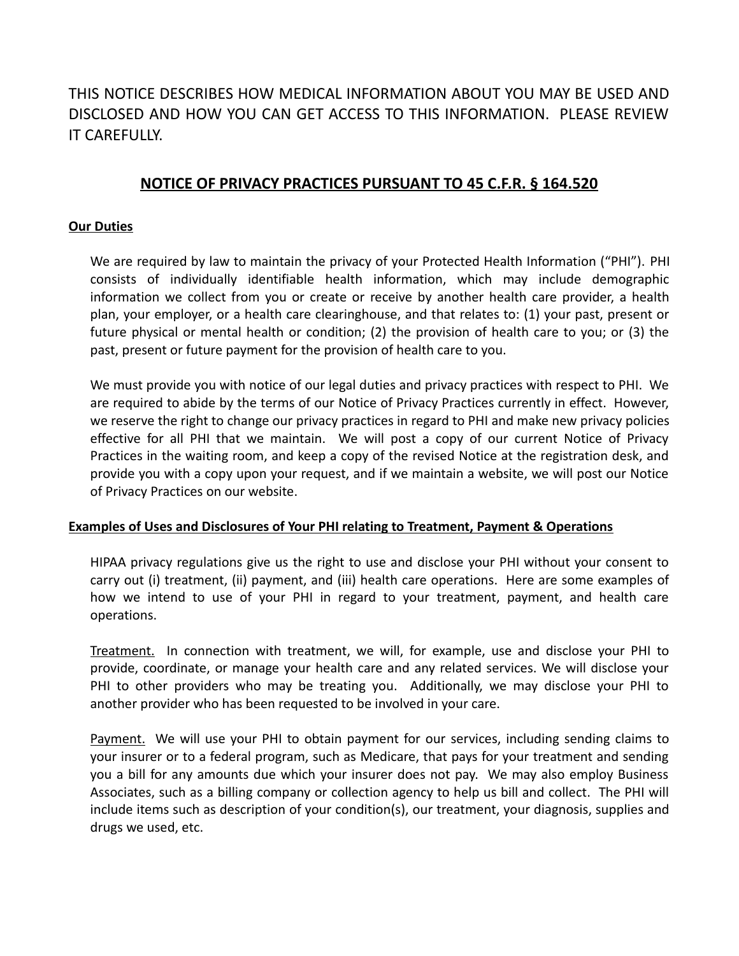# THIS NOTICE DESCRIBES HOW MEDICAL INFORMATION ABOUT YOU MAY BE USED AND DISCLOSED AND HOW YOU CAN GET ACCESS TO THIS INFORMATION. PLEASE REVIEW IT CAREFULLY.

## **NOTICE OF PRIVACY PRACTICES PURSUANT TO 45 C.F.R. § 164.520**

#### **Our Duties**

We are required by law to maintain the privacy of your Protected Health Information ("PHI"). PHI consists of individually identifiable health information, which may include demographic information we collect from you or create or receive by another health care provider, a health plan, your employer, or a health care clearinghouse, and that relates to: (1) your past, present or future physical or mental health or condition; (2) the provision of health care to you; or (3) the past, present or future payment for the provision of health care to you.

We must provide you with notice of our legal duties and privacy practices with respect to PHI. We are required to abide by the terms of our Notice of Privacy Practices currently in effect. However, we reserve the right to change our privacy practices in regard to PHI and make new privacy policies effective for all PHI that we maintain. We will post a copy of our current Notice of Privacy Practices in the waiting room, and keep a copy of the revised Notice at the registration desk, and provide you with a copy upon your request, and if we maintain a website, we will post our Notice of Privacy Practices on our website.

#### **Examples of Uses and Disclosures of Your PHI relating to Treatment, Payment & Operations**

HIPAA privacy regulations give us the right to use and disclose your PHI without your consent to carry out (i) treatment, (ii) payment, and (iii) health care operations. Here are some examples of how we intend to use of your PHI in regard to your treatment, payment, and health care operations.

Treatment. In connection with treatment, we will, for example, use and disclose your PHI to provide, coordinate, or manage your health care and any related services. We will disclose your PHI to other providers who may be treating you. Additionally, we may disclose your PHI to another provider who has been requested to be involved in your care.

Payment. We will use your PHI to obtain payment for our services, including sending claims to your insurer or to a federal program, such as Medicare, that pays for your treatment and sending you a bill for any amounts due which your insurer does not pay. We may also employ Business Associates, such as a billing company or collection agency to help us bill and collect. The PHI will include items such as description of your condition(s), our treatment, your diagnosis, supplies and drugs we used, etc.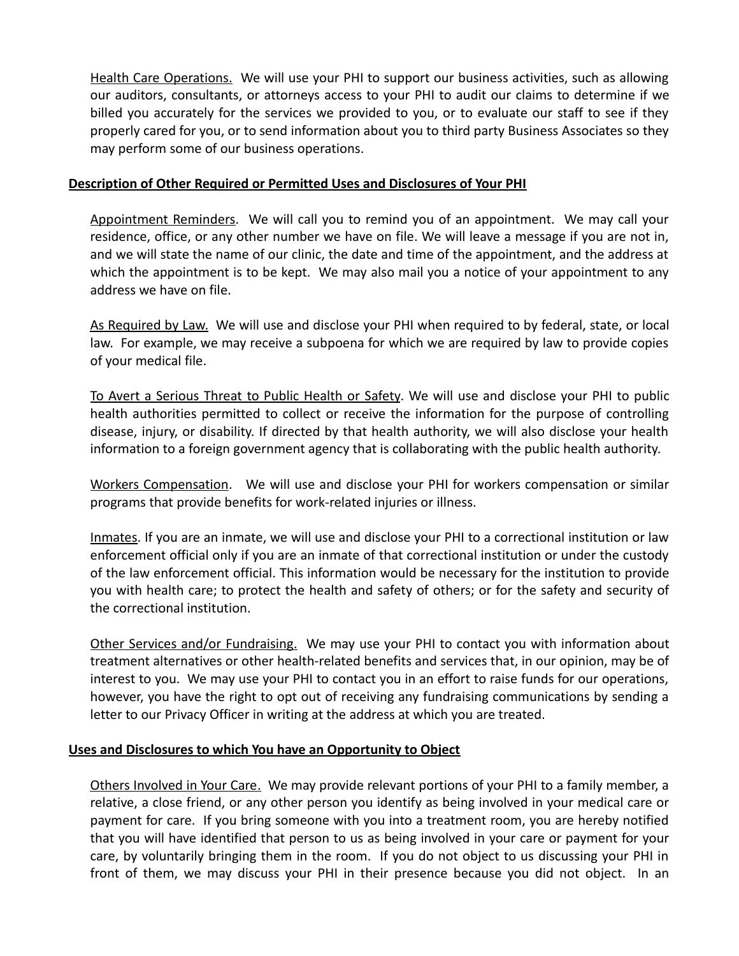Health Care Operations. We will use your PHI to support our business activities, such as allowing our auditors, consultants, or attorneys access to your PHI to audit our claims to determine if we billed you accurately for the services we provided to you, or to evaluate our staff to see if they properly cared for you, or to send information about you to third party Business Associates so they may perform some of our business operations.

### **Description of Other Required or Permitted Uses and Disclosures of Your PHI**

Appointment Reminders. We will call you to remind you of an appointment. We may call your residence, office, or any other number we have on file. We will leave a message if you are not in, and we will state the name of our clinic, the date and time of the appointment, and the address at which the appointment is to be kept. We may also mail you a notice of your appointment to any address we have on file.

As Required by Law. We will use and disclose your PHI when required to by federal, state, or local law. For example, we may receive a subpoena for which we are required by law to provide copies of your medical file.

To Avert a Serious Threat to Public Health or Safety. We will use and disclose your PHI to public health authorities permitted to collect or receive the information for the purpose of controlling disease, injury, or disability. If directed by that health authority, we will also disclose your health information to a foreign government agency that is collaborating with the public health authority.

Workers Compensation. We will use and disclose your PHI for workers compensation or similar programs that provide benefits for work-related injuries or illness.

Inmates. If you are an inmate, we will use and disclose your PHI to a correctional institution or law enforcement official only if you are an inmate of that correctional institution or under the custody of the law enforcement official. This information would be necessary for the institution to provide you with health care; to protect the health and safety of others; or for the safety and security of the correctional institution.

Other Services and/or Fundraising. We may use your PHI to contact you with information about treatment alternatives or other health-related benefits and services that, in our opinion, may be of interest to you. We may use your PHI to contact you in an effort to raise funds for our operations, however, you have the right to opt out of receiving any fundraising communications by sending a letter to our Privacy Officer in writing at the address at which you are treated.

## **Uses and Disclosures to which You have an Opportunity to Object**

Others Involved in Your Care. We may provide relevant portions of your PHI to a family member, a relative, a close friend, or any other person you identify as being involved in your medical care or payment for care. If you bring someone with you into a treatment room, you are hereby notified that you will have identified that person to us as being involved in your care or payment for your care, by voluntarily bringing them in the room. If you do not object to us discussing your PHI in front of them, we may discuss your PHI in their presence because you did not object. In an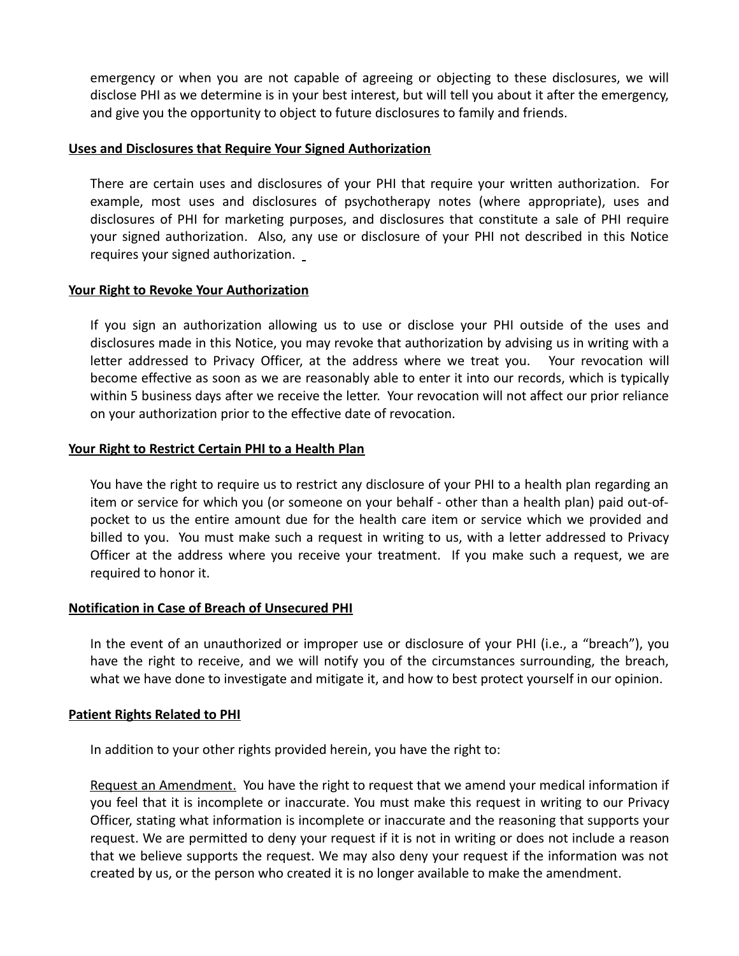emergency or when you are not capable of agreeing or objecting to these disclosures, we will disclose PHI as we determine is in your best interest, but will tell you about it after the emergency, and give you the opportunity to object to future disclosures to family and friends.

#### **Uses and Disclosures that Require Your Signed Authorization**

There are certain uses and disclosures of your PHI that require your written authorization. For example, most uses and disclosures of psychotherapy notes (where appropriate), uses and disclosures of PHI for marketing purposes, and disclosures that constitute a sale of PHI require your signed authorization. Also, any use or disclosure of your PHI not described in this Notice requires your signed authorization.

#### **Your Right to Revoke Your Authorization**

If you sign an authorization allowing us to use or disclose your PHI outside of the uses and disclosures made in this Notice, you may revoke that authorization by advising us in writing with a letter addressed to Privacy Officer, at the address where we treat you. Your revocation will become effective as soon as we are reasonably able to enter it into our records, which is typically within 5 business days after we receive the letter. Your revocation will not affect our prior reliance on your authorization prior to the effective date of revocation.

#### **Your Right to Restrict Certain PHI to a Health Plan**

You have the right to require us to restrict any disclosure of your PHI to a health plan regarding an item or service for which you (or someone on your behalf - other than a health plan) paid out-ofpocket to us the entire amount due for the health care item or service which we provided and billed to you. You must make such a request in writing to us, with a letter addressed to Privacy Officer at the address where you receive your treatment. If you make such a request, we are required to honor it.

#### **Notification in Case of Breach of Unsecured PHI**

In the event of an unauthorized or improper use or disclosure of your PHI (i.e., a "breach"), you have the right to receive, and we will notify you of the circumstances surrounding, the breach, what we have done to investigate and mitigate it, and how to best protect yourself in our opinion.

#### **Patient Rights Related to PHI**

In addition to your other rights provided herein, you have the right to:

Request an Amendment. You have the right to request that we amend your medical information if you feel that it is incomplete or inaccurate. You must make this request in writing to our Privacy Officer, stating what information is incomplete or inaccurate and the reasoning that supports your request. We are permitted to deny your request if it is not in writing or does not include a reason that we believe supports the request. We may also deny your request if the information was not created by us, or the person who created it is no longer available to make the amendment.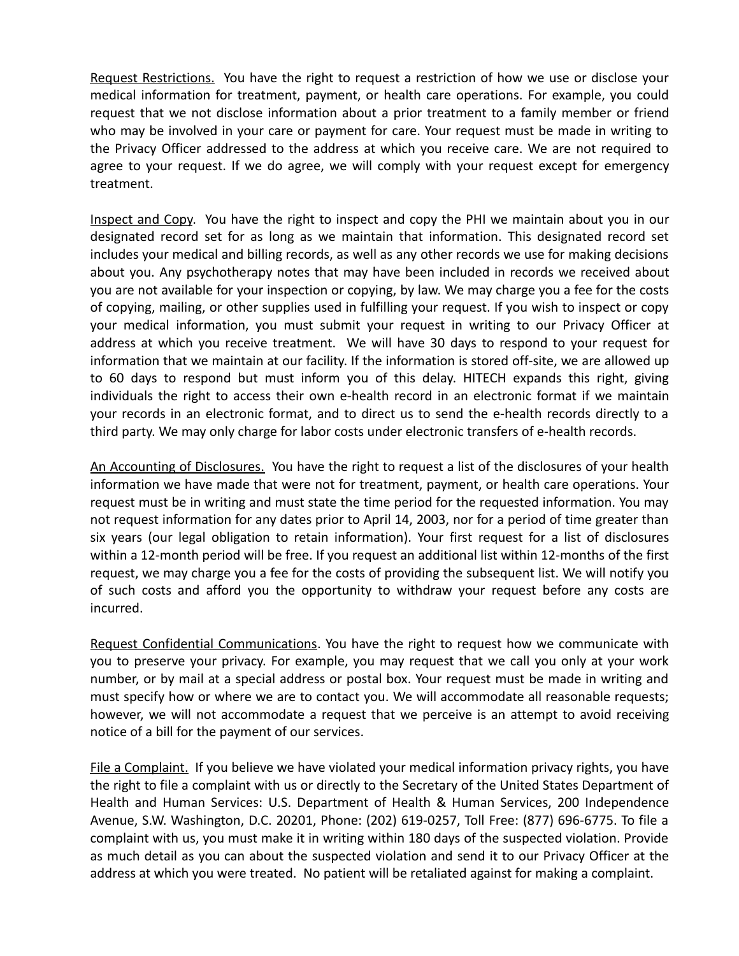Request Restrictions. You have the right to request a restriction of how we use or disclose your medical information for treatment, payment, or health care operations. For example, you could request that we not disclose information about a prior treatment to a family member or friend who may be involved in your care or payment for care. Your request must be made in writing to the Privacy Officer addressed to the address at which you receive care. We are not required to agree to your request. If we do agree, we will comply with your request except for emergency treatment.

Inspect and Copy. You have the right to inspect and copy the PHI we maintain about you in our designated record set for as long as we maintain that information. This designated record set includes your medical and billing records, as well as any other records we use for making decisions about you. Any psychotherapy notes that may have been included in records we received about you are not available for your inspection or copying, by law. We may charge you a fee for the costs of copying, mailing, or other supplies used in fulfilling your request. If you wish to inspect or copy your medical information, you must submit your request in writing to our Privacy Officer at address at which you receive treatment. We will have 30 days to respond to your request for information that we maintain at our facility. If the information is stored off-site, we are allowed up to 60 days to respond but must inform you of this delay. HITECH expands this right, giving individuals the right to access their own e-health record in an electronic format if we maintain your records in an electronic format, and to direct us to send the e-health records directly to a third party. We may only charge for labor costs under electronic transfers of e-health records.

An Accounting of Disclosures. You have the right to request a list of the disclosures of your health information we have made that were not for treatment, payment, or health care operations. Your request must be in writing and must state the time period for the requested information. You may not request information for any dates prior to April 14, 2003, nor for a period of time greater than six years (our legal obligation to retain information). Your first request for a list of disclosures within a 12-month period will be free. If you request an additional list within 12-months of the first request, we may charge you a fee for the costs of providing the subsequent list. We will notify you of such costs and afford you the opportunity to withdraw your request before any costs are incurred.

Request Confidential Communications. You have the right to request how we communicate with you to preserve your privacy. For example, you may request that we call you only at your work number, or by mail at a special address or postal box. Your request must be made in writing and must specify how or where we are to contact you. We will accommodate all reasonable requests; however, we will not accommodate a request that we perceive is an attempt to avoid receiving notice of a bill for the payment of our services.

File a Complaint. If you believe we have violated your medical information privacy rights, you have the right to file a complaint with us or directly to the Secretary of the United States Department of Health and Human Services: U.S. Department of Health & Human Services, 200 Independence Avenue, S.W. Washington, D.C. 20201, Phone: (202) 619-0257, Toll Free: (877) 696-6775. To file a complaint with us, you must make it in writing within 180 days of the suspected violation. Provide as much detail as you can about the suspected violation and send it to our Privacy Officer at the address at which you were treated. No patient will be retaliated against for making a complaint.